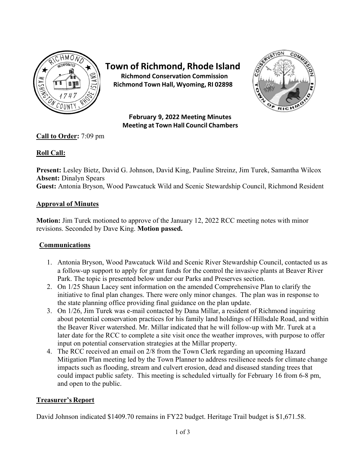

# **Town of Richmond, Rhode Island**

**Richmond Conservation Commission Richmond Town Hall, Wyoming, RI 02898**



**February 9, 2022 Meeting Minutes Meeting at Town Hall Council Chambers**

**Call to Order:** 7:09 pm

# **Roll Call:**

**Present:** Lesley Bietz, David G. Johnson, David King, Pauline Streinz, Jim Turek, Samantha Wilcox **Absent:** Dinalyn Spears

**Guest:** Antonia Bryson, Wood Pawcatuck Wild and Scenic Stewardship Council, Richmond Resident

## **Approval of Minutes**

**Motion:** Jim Turek motioned to approve of the January 12, 2022 RCC meeting notes with minor revisions. Seconded by Dave King. **Motion passed.**

## **Communications**

- 1. Antonia Bryson, Wood Pawcatuck Wild and Scenic River Stewardship Council, contacted us as a follow-up support to apply for grant funds for the control the invasive plants at Beaver River Park. The topic is presented below under our Parks and Preserves section.
- 2. On 1/25 Shaun Lacey sent information on the amended Comprehensive Plan to clarify the initiative to final plan changes. There were only minor changes. The plan was in response to the state planning office providing final guidance on the plan update.
- 3. On 1/26, Jim Turek was e-mail contacted by Dana Millar, a resident of Richmond inquiring about potential conservation practices for his family land holdings of Hillsdale Road, and within the Beaver River watershed. Mr. Millar indicated that he will follow-up with Mr. Turek at a later date for the RCC to complete a site visit once the weather improves, with purpose to offer input on potential conservation strategies at the Millar property.
- 4. The RCC received an email on 2/8 from the Town Clerk regarding an upcoming Hazard Mitigation Plan meeting led by the Town Planner to address resilience needs for climate change impacts such as flooding, stream and culvert erosion, dead and diseased standing trees that could impact public safety. This meeting is scheduled virtually for February 16 from 6-8 pm, and open to the public.

## **Treasurer's Report**

David Johnson indicated \$1409.70 remains in FY22 budget. Heritage Trail budget is \$1,671.58.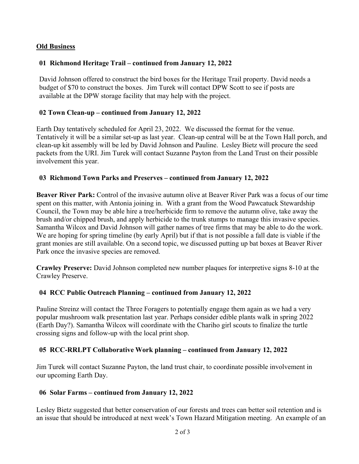### **Old Business**

## **01 Richmond Heritage Trail – continued from January 12, 2022**

David Johnson offered to construct the bird boxes for the Heritage Trail property. David needs a budget of \$70 to construct the boxes. Jim Turek will contact DPW Scott to see if posts are available at the DPW storage facility that may help with the project.

### **02 Town Clean-up – continued from January 12, 2022**

Earth Day tentatively scheduled for April 23, 2022. We discussed the format for the venue. Tentatively it will be a similar set-up as last year. Clean-up central will be at the Town Hall porch, and clean-up kit assembly will be led by David Johnson and Pauline. Lesley Bietz will procure the seed packets from the URI. Jim Turek will contact Suzanne Payton from the Land Trust on their possible involvement this year.

#### **03 Richmond Town Parks and Preserves – continued from January 12, 2022**

**Beaver River Park:** Control of the invasive autumn olive at Beaver River Park was a focus of our time spent on this matter, with Antonia joining in. With a grant from the Wood Pawcatuck Stewardship Council, the Town may be able hire a tree/herbicide firm to remove the autumn olive, take away the brush and/or chipped brush, and apply herbicide to the trunk stumps to manage this invasive species. Samantha Wilcox and David Johnson will gather names of tree firms that may be able to do the work. We are hoping for spring timeline (by early April) but if that is not possible a fall date is viable if the grant monies are still available. On a second topic, we discussed putting up bat boxes at Beaver River Park once the invasive species are removed.

**Crawley Preserve:** David Johnson completed new number plaques for interpretive signs 8-10 at the Crawley Preserve.

#### **04 RCC Public Outreach Planning – continued from January 12, 2022**

Pauline Streinz will contact the Three Foragers to potentially engage them again as we had a very popular mushroom walk presentation last year. Perhaps consider edible plants walk in spring 2022 (Earth Day?). Samantha Wilcox will coordinate with the Chariho girl scouts to finalize the turtle crossing signs and follow-up with the local print shop.

#### **05 RCC-RRLPT Collaborative Work planning – continued from January 12, 2022**

Jim Turek will contact Suzanne Payton, the land trust chair, to coordinate possible involvement in our upcoming Earth Day.

#### **06 Solar Farms – continued from January 12, 2022**

Lesley Bietz suggested that better conservation of our forests and trees can better soil retention and is an issue that should be introduced at next week's Town Hazard Mitigation meeting. An example of an